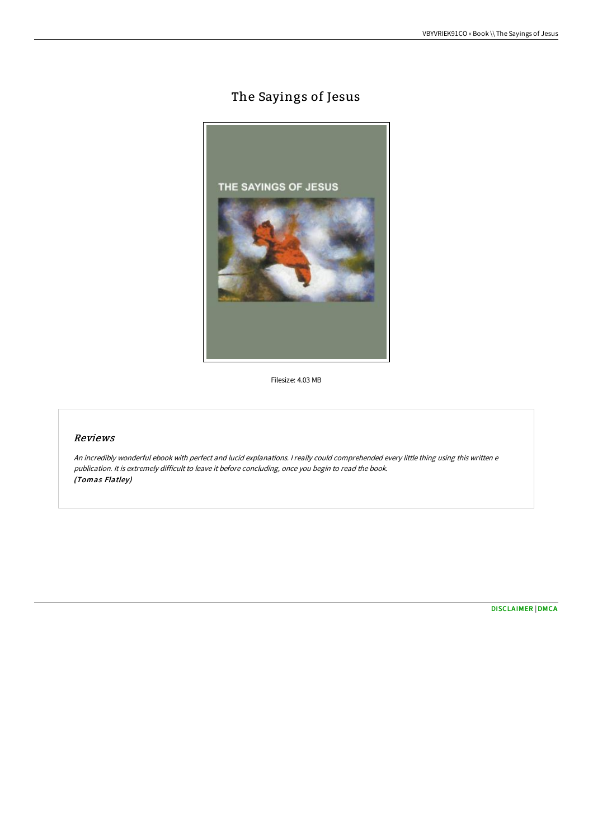# The Sayings of Jesus



Filesize: 4.03 MB

## Reviews

An incredibly wonderful ebook with perfect and lucid explanations. <sup>I</sup> really could comprehended every little thing using this written <sup>e</sup> publication. It is extremely difficult to leave it before concluding, once you begin to read the book. (Tomas Flatley)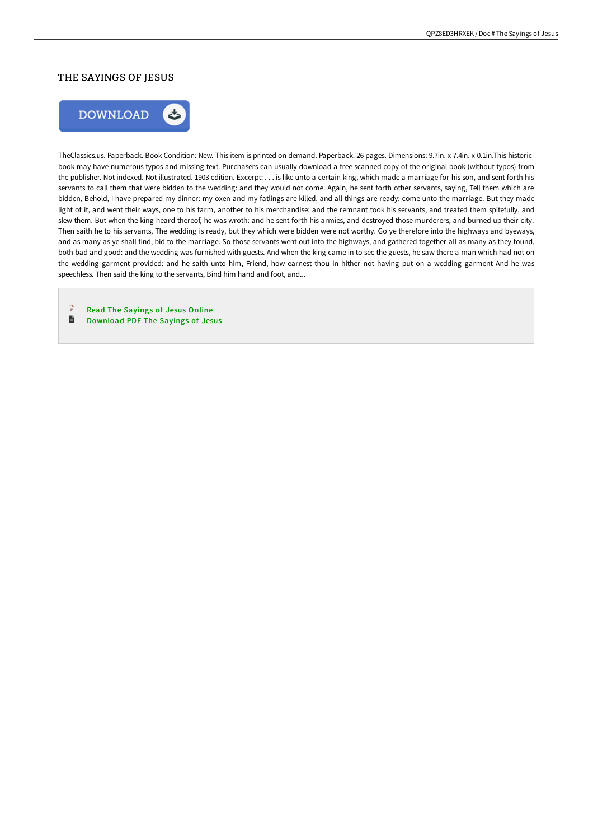#### THE SAYINGS OF JESUS



TheClassics.us. Paperback. Book Condition: New. This item is printed on demand. Paperback. 26 pages. Dimensions: 9.7in. x 7.4in. x 0.1in.This historic book may have numerous typos and missing text. Purchasers can usually download a free scanned copy of the original book (without typos) from the publisher. Not indexed. Not illustrated. 1903 edition. Excerpt: . . . is like unto a certain king, which made a marriage for his son, and sent forth his servants to call them that were bidden to the wedding: and they would not come. Again, he sent forth other servants, saying, Tell them which are bidden, Behold, I have prepared my dinner: my oxen and my fatlings are killed, and all things are ready: come unto the marriage. But they made light of it, and went their ways, one to his farm, another to his merchandise: and the remnant took his servants, and treated them spitefully, and slew them. But when the king heard thereof, he was wroth: and he sent forth his armies, and destroyed those murderers, and burned up their city. Then saith he to his servants, The wedding is ready, but they which were bidden were not worthy. Go ye therefore into the highways and byeways, and as many as ye shall find, bid to the marriage. So those servants went out into the highways, and gathered together all as many as they found, both bad and good: and the wedding was furnished with guests. And when the king came in to see the guests, he saw there a man which had not on the wedding garment provided: and he saith unto him, Friend, how earnest thou in hither not having put on a wedding garment And he was speechless. Then said the king to the servants, Bind him hand and foot, and...

 $\begin{tabular}{|c|c|} \hline \quad \quad & \quad \quad & \quad \quad \\ \hline \end{tabular}$ Read The [Sayings](http://bookera.tech/the-sayings-of-jesus.html) of Jesus Online D [Download](http://bookera.tech/the-sayings-of-jesus.html) PDF The Sayings of Jesus